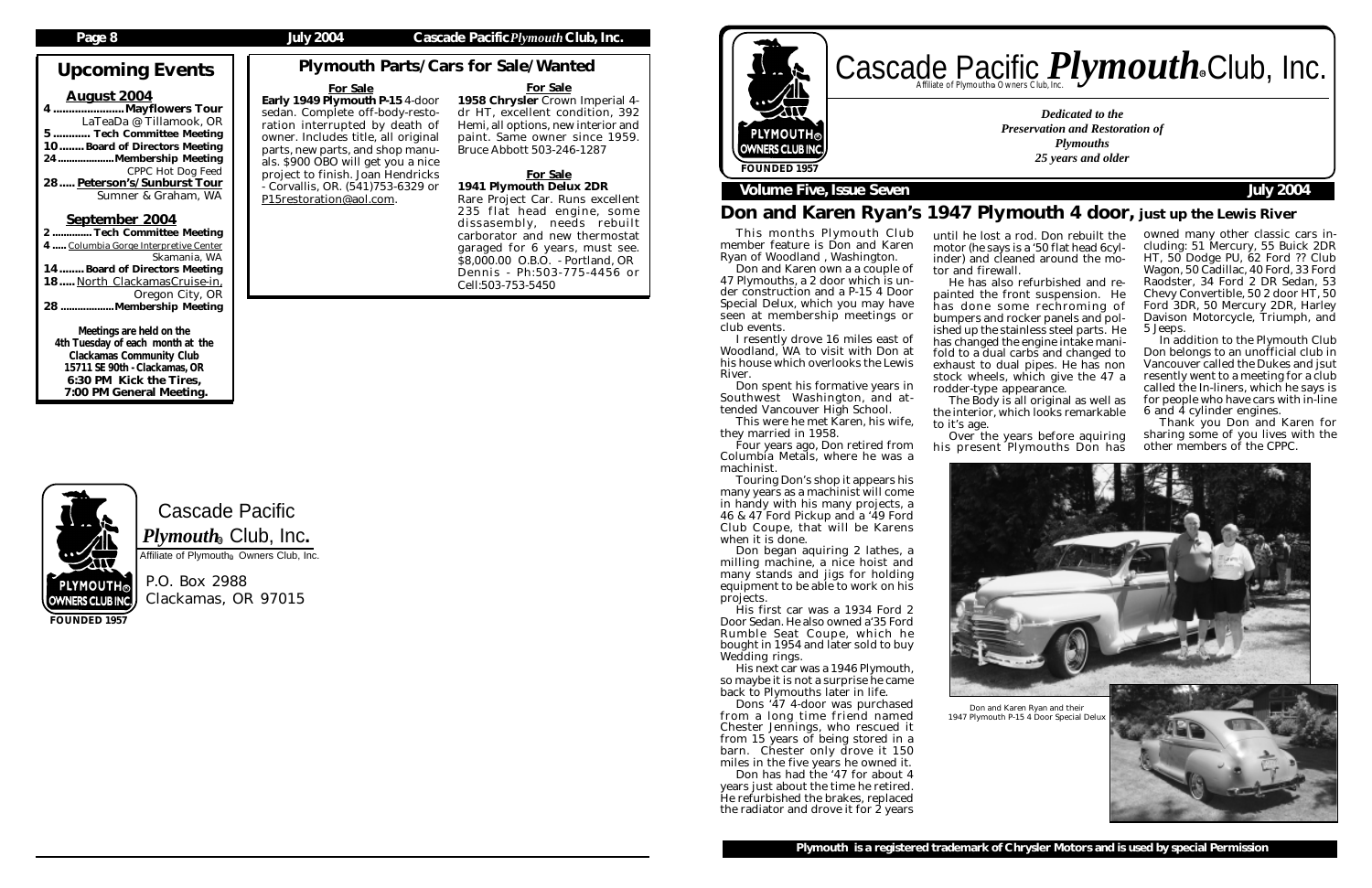# Cascade Pacific

P.O. Box 2988 Clackamas, OR 97015

Upcoming Events

24....................Membership Meeting CPPC Hot Dog Feed 28..... Peterson's/Sunburst Tour Sumner & Graham, WA

### August 2004 ......Mayflowers Tour LaTeaDa @ Tillamook, OR 5 ............ Tech Committee Meeting 10........ Board of Directors Meeting

# September 2004

| 50                                    |
|---------------------------------------|
| 2 Tech Committee Meeting              |
| 4  Columbia Gorge Interpretive Center |
| Skamania, WA                          |
| 14 Board of Directors Meeting         |
| 18 North ClackamasCruise-in,          |
| Oregon City, OR                       |
| 28 Membership Meeting                 |
|                                       |

# Cascade Pacific *Plymouth* Souriers Club, Inc. R

Meetings are held on the 4th Tuesday of each month at the Clackamas Community Club 15711 SE 90th - Clackamas, OR 6:30 PM Kick the Tires, 7:00 PM General Meeting.

**FOUNDED 1957**

### **Page 8 July 2004 Cascade Pacific***Plymouth***Club, Inc.**

Touring Don's shop it appears his many years as a machinist will come in handy with his many projects, a 46 & 47 Ford Pickup and a '49 Ford Club Coupe, that will be Karens when it is done.

*Dedicated to the Preservation and Restoration of Plymouths 25 years and older*



# **Volume Five, Issue Seven July 2004**

### **Plymouth is a registered trademark of Chrysler Motors and is used by special Permission**

# Don and Karen Ryan's 1947 Plymouth 4 door, just up the Lewis River

# Plymouth Parts/Cars for Sale/Wanted

Don has had the '47 for about 4 years just about the time he retired. He refurbished the brakes, replaced the radiator and drove it for  $\dot{2}$  years

This months Plymouth Club member feature is Don and Karen Ryan of Woodland , Washington.

Don and Karen own a a couple of 47 Plymouths, a 2 door which is under construction and a P-15 4 Door Special Delux, which you may have seen at membership meetings or club events.

I resently drove 16 miles east of Woodland, WA to visit with Don at his house which overlooks the Lewis River.

Don spent his formative years in Southwest Washington, and attended Vancouver High School.

This were he met Karen, his wife, they married in 1958.

Four years ago, Don retired from Columbia Metals, where he was a machinist.

The Body is all original as well as the interior, which looks remarkable

Over the years before aquiring his present Plymouths Don has

Don began aquiring 2 lathes, a milling machine, a nice hoist and many stands and jigs for holding equipment to be able to work on his projects.

His first car was a 1934 Ford 2 Door Sedan. He also owned a'35 Ford Rumble Seat Coupe, which he bought in 1954 and later sold to buy Wedding rings.

His next car was a 1946 Plymouth, so maybe it is not a surprise he came back to Plymouths later in life.

Dons '47 4-door was purchased from a long time friend named Chester Jennings, who rescued it from 15 years of being stored in a barn. Chester only drove it 150 miles in the five years he owned it.

### For Sale

Early 1949 Plymouth P-15 4-door sedan. Complete off-body-restoration interrupted by death of owner. Includes title, all original parts, new parts, and shop manuals. \$900 OBO will get you a nice project to finish. Joan Hendricks - Corvallis, OR. (541)753-6329 or P15restoration@aol.com.

### For Sale 1958 Chrysler Crown Imperial 4 dr HT, excellent condition, 392 Hemi, all options, new interior and paint. Same owner since 1959. Bruce Abbott 503-246-1287

### For Sale 1941 Plymouth Delux 2DR

Rare Project Car. Runs excellent 235 flat head engine, some dissasembly, needs rebuilt carborator and new thermostat garaged for 6 years, must see. \$8,000.00 O.B.O. - Portland, OR Dennis - Ph:503-775-4456 or

Cell:503-753-5450

until he lost a rod. Don rebuilt the motor (he says is a '50 flat head 6cylinder) and cleaned around the mo-

He has also refurbished and repainted the front suspension. He has done some rechroming of bumpers and rocker panels and polished up the stainless steel parts. He has changed the engine intake manifold to a dual carbs and changed to exhaust to dual pipes. He has non stock wheels, which give the 47 a

tor and firewall. rodder-type appearance.

to it's age.

owned many other classic cars including: 51 Mercury, 55 Buick 2DR HT, 50 Dodge PU, 62 Ford ?? Club Wagon, 50 Cadillac, 40 Ford, 33 Ford Raodster, 34 Ford 2 DR Sedan, 53 Chevy Convertible, 50 2 door HT, 50 Ford 3DR, 50 Mercury 2DR, Harley Davison Motorcycle, Triumph, and 5 Jeeps.

In addition to the Plymouth Club Don belongs to an unofficial club in Vancouver called the Dukes and jsut resently went to a meeting for a club called the In-liners, which he says is for people who have cars with in-line 6 and 4 cylinder engines.

Thank you Don and Karen for sharing some of you lives with the other members of the CPPC.





 $\boldsymbol{P} \boldsymbol{l}$ y $\boldsymbol{m} \boldsymbol{o}$ ut $\boldsymbol{h}_\circledast$  Club, Inc.

Affiliate of Plymouth<sup>®</sup> Owners Club, Inc.

1947 Plymouth P-15 4 Door Special Delux

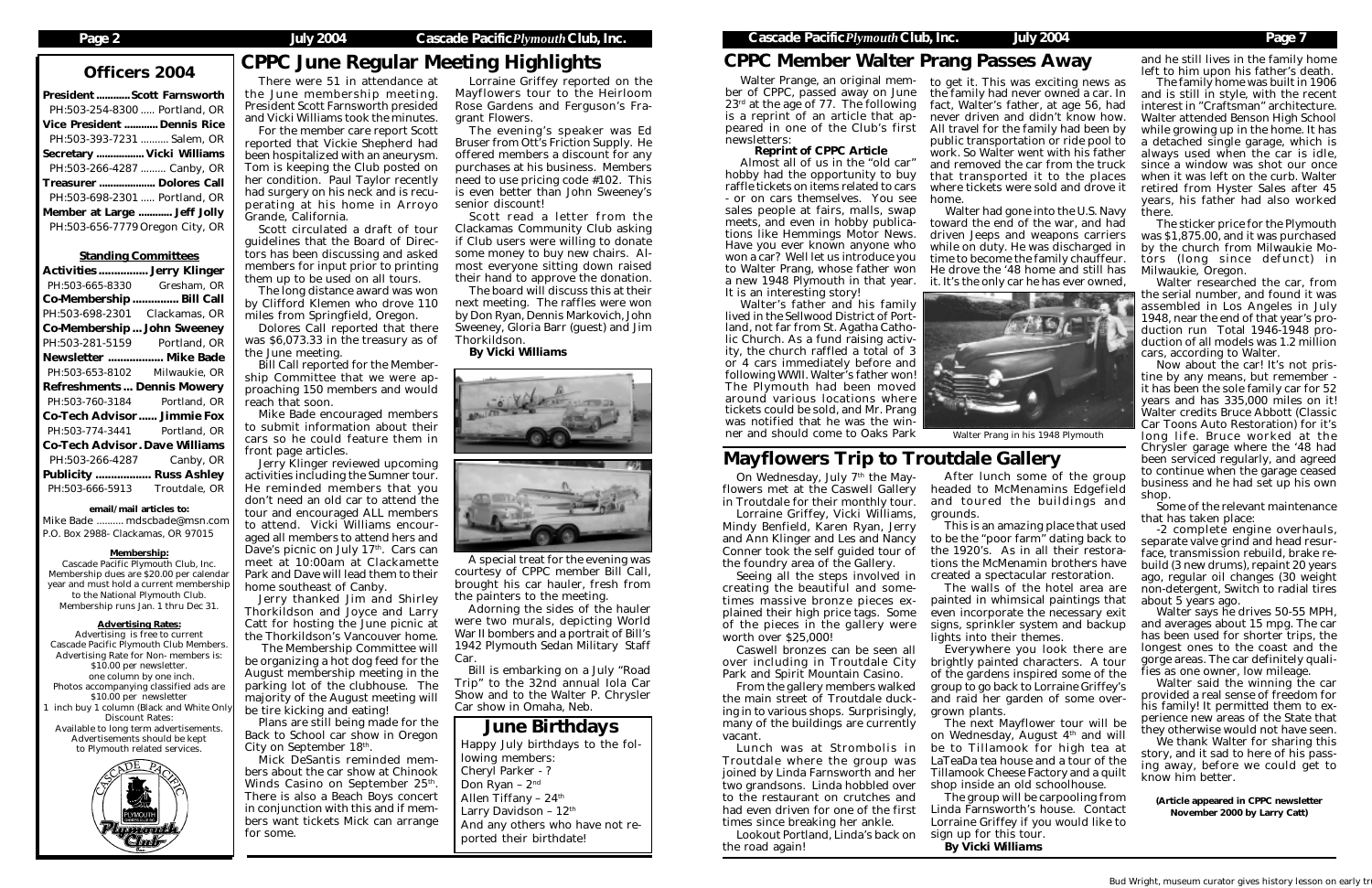| <b>President  Scott Farnsworth</b> |  |
|------------------------------------|--|
| PH:503-254-8300  Portland, OR      |  |
| Vice President  Dennis Rice        |  |
| PH:503-393-7231  Salem, OR         |  |
| Secretary  Vicki Williams          |  |
| PH:503-266-4287  Canby, OR         |  |
| Treasurer  Dolores Call            |  |
| PH:503-698-2301  Portland, OR      |  |
| Member at Large  Jeff Jolly        |  |
| PH:503-656-7779 Oregon City, OR    |  |
|                                    |  |

### Standing Committees

| <b>Activities  Jerry Klinger</b>      |               |  |  |  |
|---------------------------------------|---------------|--|--|--|
| PH:503-665-8330                       | Gresham, OR   |  |  |  |
| Co-Membership  Bill Call              |               |  |  |  |
| PH:503-698-2301                       | Clackamas, OR |  |  |  |
| Co-Membership  John Sweeney           |               |  |  |  |
| PH:503-281-5159 Portland, OR          |               |  |  |  |
| Newsletter  Mike Bade                 |               |  |  |  |
| PH:503-653-8102 Milwaukie, OR         |               |  |  |  |
| <b>Refreshments Dennis Mowery</b>     |               |  |  |  |
| PH:503-760-3184                       | Portland, OR  |  |  |  |
| <b>Co-Tech Advisor Jimmie Fox</b>     |               |  |  |  |
|                                       |               |  |  |  |
| PH:503-774-3441 Portland, OR          |               |  |  |  |
| <b>Co-Tech Advisor. Dave Williams</b> |               |  |  |  |
| PH:503-266-4287                       | Canby, OR     |  |  |  |
| <b>Publicity  Russ Ashley</b>         |               |  |  |  |
| PH:503-666-5913                       | Troutdale, OR |  |  |  |

email/mail articles to:

Mike Bade .......... mdscbade@msn.com P.O. Box 2988- Clackamas, OR 97015

### Membership:

Cascade Pacific Plymouth Club, Inc. Membership dues are \$20.00 per calendar year and must hold a current membership to the National Plymouth Club. Membership runs Jan. 1 thru Dec 31.

### Advertising Rates:

Advertising is free to current Cascade Pacific Plymouth Club Members. Advertising Rate for Non- members is: \$10.00 per newsletter. one column by one inch. Photos accompanying classified ads are \$10.00 per newsletter inch buy 1 column (Black and White Only Discount Rates: Available to long term advertisements. Advertisements should be kept to Plymouth related services.



# Officers 2004 CPPC June Regular Meeting Highlights

Plans are still being made for the Back to School car show in Oregon City on September 18<sup>th</sup>.

There were 51 in attendance at the June membership meeting. President Scott Farnsworth presided and Vicki Williams took the minutes.

For the member care report Scott reported that Vickie Shepherd had been hospitalized with an aneurysm. Tom is keeping the Club posted on her condition. Paul Taylor recently had surgery on his neck and is recuperating at his home in Arroyo Grande, California.

Scott circulated a draft of tour guidelines that the Board of Directors has been discussing and asked members for input prior to printing them up to be used on all tours.

The long distance award was won by Clifford Klemen who drove 110 miles from Springfield, Oregon.

Dolores Call reported that there was \$6,073.33 in the treasury as of the June meeting.

Bill Call reported for the Membership Committee that we were approaching 150 members and would reach that soon.

Mike Bade encouraged members to submit information about their cars so he could feature them in front page articles.

Jerry Klinger reviewed upcoming activities including the Sumner tour. He reminded members that you don't need an old car to attend the tour and encouraged ALL members to attend. Vicki Williams encouraged all members to attend hers and Dave's picnic on July  $17<sup>th</sup>$ . Cars can meet at 10:00am at Clackamette Park and Dave will lead them to their home southeast of Canby.

On Wednesday, July 7<sup>th</sup> the Mayflowers met at the Caswell Gallery in Troutdale for their monthly tour.

Jerry thanked Jim and Shirley Thorkildson and Joyce and Larry Catt for hosting the June picnic at the Thorkildson's Vancouver home.

 The Membership Committee will be organizing a hot dog feed for the August membership meeting in the parking lot of the clubhouse. The majority of the August meeting will be tire kicking and eating!

Mick DeSantis reminded members about the car show at Chinook Winds Casino on September 25<sup>th</sup>. There is also a Beach Boys concert in conjunction with this and if members want tickets Mick can arrange for some.

June Birthdays Happy July birthdays to the following members: Cheryl Parker - ? Don Ryan – 2nd Allen Tiffany –  $24<sup>th</sup>$ Larry Davidson - 12<sup>th</sup> And any others who have not reported their birthdate!

Lorraine Griffey reported on the Mayflowers tour to the Heirloom Rose Gardens and Ferguson's Fragrant Flowers.

The evening's speaker was Ed Bruser from Ott's Friction Supply. He offered members a discount for any purchases at his business. Members need to use pricing code #102. This is even better than John Sweeney's senior discount!

Scott read a letter from the Clackamas Community Club asking if Club users were willing to donate some money to buy new chairs. Almost everyone sitting down raised their hand to approve the donation.

The board will discuss this at their next meeting. The raffles were won by Don Ryan, Dennis Markovich, John Sweeney, Gloria Barr (guest) and Jim Thorkildson.

*By Vicki Williams*





ber of CPPC, passed away on June  $23<sup>rd</sup>$  at the age of 77. The following is a reprint of an article that appeared in one of the Club's first newsletters:

### *Reprint of CPPC Article*

Almost all of us in the "old car" hobby had the opportunity to buy raffle tickets on items related to cars - or on cars themselves. You see sales people at fairs, malls, swap meets, and even in hobby publications like Hemmings Motor News. Have you ever known anyone who won a car? Well let us introduce you to Walter Prang, whose father won a new 1948 Plymouth in that year. It is an interesting story!

> Walter said the winning the car provided a real sense of freedom for his family! It permitted them to experience new areas of the State that they otherwise would not have seen.

> We thank Walter for sharing this story, and it sad to here of his passing away, before we could get to know him better.

Walter's father and his family lived in the Sellwood District of Portland, not far from St. Agatha Catholic Church. As a fund raising activity, the church raffled a total of 3 or 4 cars immediately before and following WWII. Walter's father won! The Plymouth had been moved around various locations where tickets could be sold, and Mr. Prang was notified that he was the winner and should come to Oaks Park

Lorraine Griffey, Vicki Williams, Mindy Benfield, Karen Ryan, Jerry and Ann Klinger and Les and Nancy Conner took the self guided tour of the foundry area of the Gallery.

Seeing all the steps involved in creating the beautiful and sometimes massive bronze pieces explained their high price tags. Some of the pieces in the gallery were worth over \$25,000!

Caswell bronzes can be seen all over including in Troutdale City Park and Spirit Mountain Casino.

From the gallery members walked the main street of Troutdale ducking in to various shops. Surprisingly, many of the buildings are currently vacant.

Walter Prange, an original mem-to get it. This was exciting news as the family had never owned a car. In fact, Walter's father, at age 56, had never driven and didn't know how. All travel for the family had been by public transportation or ride pool to work. So Walter went with his father and removed the car from the truck that transported it to the places where tickets were sold and drove it home.

Lunch was at Strombolis in Troutdale where the group was joined by Linda Farnsworth and her two grandsons. Linda hobbled over to the restaurant on crutches and had even driven for one of the first times since breaking her ankle.

Lookout Portland, Linda's back on the road again!

# Mayflowers Trip to Troutdale Gallery

After lunch some of the group headed to McMenamins Edgefield and toured the buildings and

grounds.

This is an amazing place that used to be the "poor farm" dating back to the 1920's. As in all their restorations the McMenamin brothers have created a spectacular restoration.

The walls of the hotel area are painted in whimsical paintings that even incorporate the necessary exit signs, sprinkler system and backup

lights into their themes.

Everywhere you look there are brightly painted characters. A tour of the gardens inspired some of the group to go back to Lorraine Griffey's and raid her garden of some over-

grown plants.

The next Mayflower tour will be on Wednesday, August 4th and will be to Tillamook for high tea at LaTeaDa tea house and a tour of the Tillamook Cheese Factory and a quilt shop inside an old schoolhouse.

The group will be carpooling from Linda Farnsworth's house. Contact Lorraine Griffey if you would like to sign up for this tour. *By Vicki Williams*

Walter had gone into the U.S. Navy toward the end of the war, and had driven Jeeps and weapons carriers while on duty. He was discharged in time to become the family chauffeur. He drove the '48 home and still has it. It's the only car he has ever owned,



and he still lives in the family home left to him upon his father's death.

The family home was built in 1906 and is still in style, with the recent interest in "Craftsman" architecture. Walter attended Benson High School while growing up in the home. It has a detached single garage, which is always used when the car is idle, since a window was shot our once when it was left on the curb. Walter retired from Hyster Sales after 45 years, his father had also worked there.

The sticker price for the Plymouth was \$1,875.00, and it was purchased by the church from Milwaukie Motors (long since defunct) in Milwaukie, Oregon.

Walter researched the car, from the serial number, and found it was assembled in Los Angeles in July 1948, near the end of that year's production run Total 1946-1948 production of all models was 1.2 million cars, according to Walter.

Now about the car! It's not pristine by any means, but remember it has been the sole family car for 52 years and has 335,000 miles on it! Walter credits Bruce Abbott (Classic Car Toons Auto Restoration) for it's long life. Bruce worked at the Chrysler garage where the '48 had been serviced regularly, and agreed to continue when the garage ceased business and he had set up his own shop.

Some of the relevant maintenance that has taken place:

-2 complete engine overhauls, separate valve grind and head resurface, transmission rebuild, brake rebuild (3 new drums), repaint 20 years ago, regular oil changes (30 weight non-detergent, Switch to radial tires about 5 years ago.

Walter says he drives 50-55 MPH, and averages about 15 mpg. The car has been used for shorter trips, the longest ones to the coast and the gorge areas. The car definitely qualifies as one owner, low mileage.

(Article appeared in CPPC newsletter November 2000 by Larry Catt)

# CPPC Member Walter Prang Passes Away

A special treat for the evening was courtesy of CPPC member Bill Call, brought his car hauler, fresh from the painters to the meeting.

Adorning the sides of the hauler were two murals, depicting World War II bombers and a portrait of Bill's 1942 Plymouth Sedan Military Staff Car.

Bill is embarking on a July "Road Trip" to the 32nd annual Iola Car Show and to the Walter P. Chrysler Car show in Omaha, Neb.

Walter Prang in his 1948 Plymouth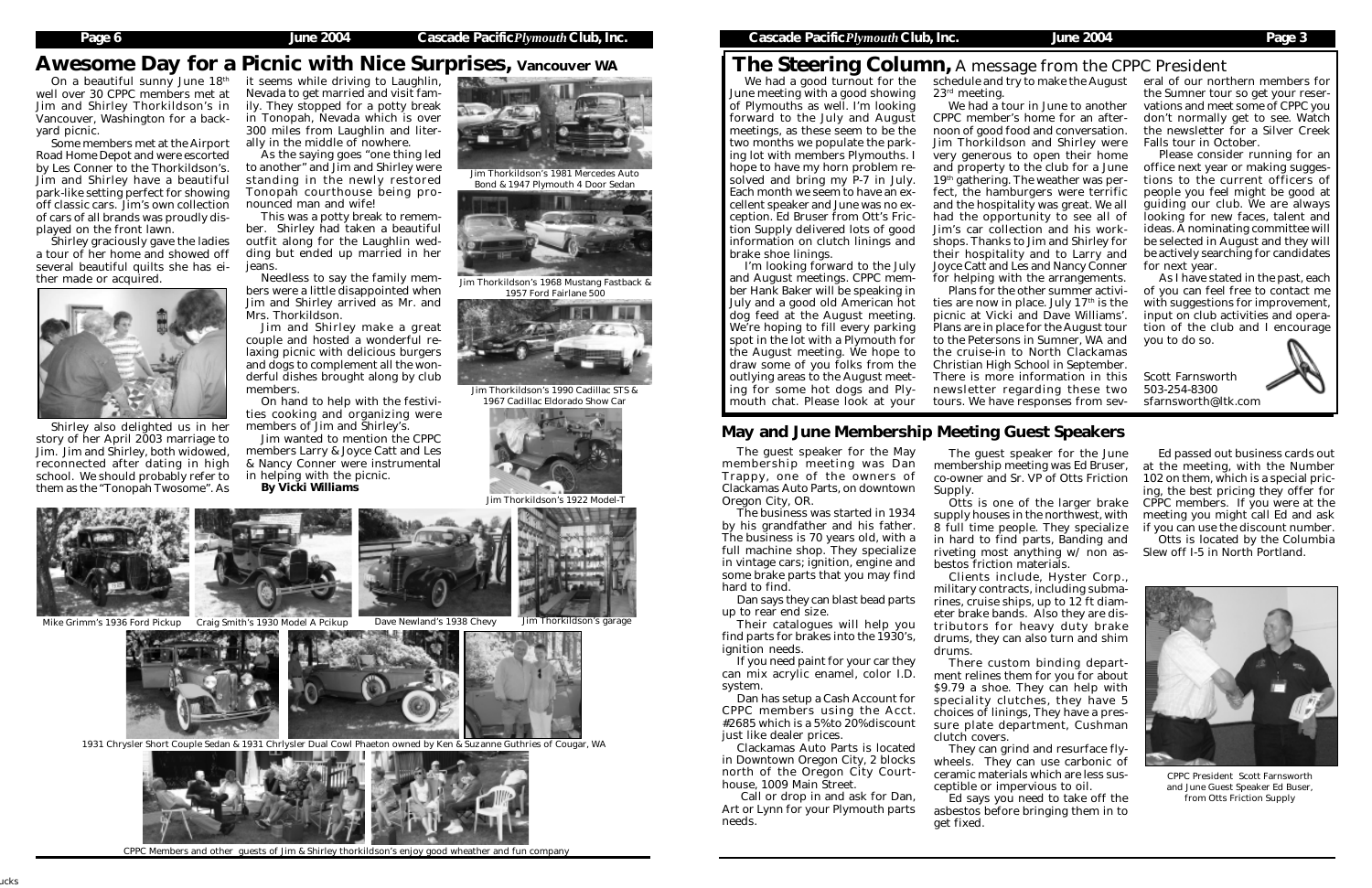### **Page 6 June 2004 Cascade Pacific***Plymouth***Club, Inc. Cascade Pacific***Plymouth***Club, Inc. June 2004 Page 3**

# The Steering Column, A message from the CPPC President

We had a good turnout for the June meeting with a good showing of Plymouths as well. I'm looking forward to the July and August meetings, as these seem to be the two months we populate the parking lot with members Plymouths. I hope to have my horn problem resolved and bring my P-7 in July. Each month we seem to have an excellent speaker and June was no exception. Ed Bruser from Ott's Friction Supply delivered lots of good information on clutch linings and brake shoe linings.

I'm looking forward to the July and August meetings. CPPC member Hank Baker will be speaking in July and a good old American hot dog feed at the August meeting. We're hoping to fill every parking spot in the lot with a Plymouth for the August meeting. We hope to draw some of you folks from the outlying areas to the August meeting for some hot dogs and Plymouth chat. Please look at your

We had a tour in June to another CPPC member's home for an afternoon of good food and conversation. Jim Thorkildson and Shirley were very generous to open their home and property to the club for a June 19<sup>th</sup> gathering. The weather was perfect, the hamburgers were terrific and the hospitality was great. We all had the opportunity to see all of Jim's car collection and his workshops. Thanks to Jim and Shirley for their hospitality and to Larry and Joyce Catt and Les and Nancy Conner for helping with the arrangements. Plans for the other summer activities are now in place. July  $17<sup>th</sup>$  is the picnic at Vicki and Dave Williams'. Plans are in place for the August tour to the Petersons in Sumner, WA and the cruise-in to North Clackamas Christian High School in September. There is more information in this newsletter regarding these two tours. We have responses from sev-

# Awesome Day for a Picnic with Nice Surprises, Vancouver WA

23rd meeting.

schedule and try to make the August eral of our northern members for the Sumner tour so get your reservations and meet some of CPPC you don't normally get to see. Watch the newsletter for a Silver Creek Falls tour in October.

On a beautiful sunny June  $18<sup>th</sup>$  it seems while driving to Laughlin, Nevada to get married and visit family. They stopped for a potty break in Tonopah, Nevada which is over 300 miles from Laughlin and literally in the middle of nowhere.

> Needless to say the family members were a little disappointed when Jim and Shirley arrived as Mr. and Mrs. Thorkildson.

Please consider running for an office next year or making suggestions to the current officers of people you feel might be good at guiding our club. We are always looking for new faces, talent and ideas. A nominating committee will be selected in August and they will be actively searching for candidates for next year.

As I have stated in the past, each of you can feel free to contact me with suggestions for improvement, input on club activities and operation of the club and I encourage you to do so.

Scott Farnsworth 503-254-8300 sfarnsworth@ltk.com

well over 30 CPPC members met at Jim and Shirley Thorkildson's in Vancouver, Washington for a backyard picnic.

Some members met at the Airport Road Home Depot and were escorted by Les Conner to the Thorkildson's. Jim and Shirley have a beautiful park-like setting perfect for showing off classic cars. Jim's own collection of cars of all brands was proudly displayed on the front lawn.

Shirley graciously gave the ladies a tour of her home and showed off several beautiful quilts she has either made or acquired.



Shirley also delighted us in her story of her April 2003 marriage to Jim. Jim and Shirley, both widowed, reconnected after dating in high school. We should probably refer to them as the "Tonopah Twosome". As

As the saying goes "one thing led to another" and Jim and Shirley were standing in the newly restored Tonopah courthouse being pronounced man and wife!

This was a potty break to remember. Shirley had taken a beautiful outfit along for the Laughlin wedding but ended up married in her jeans.

Jim and Shirley make a great couple and hosted a wonderful relaxing picnic with delicious burgers and dogs to complement all the wonderful dishes brought along by club members.

On hand to help with the festivities cooking and organizing were members of Jim and Shirley's.

Jim wanted to mention the CPPC members Larry & Joyce Catt and Les & Nancy Conner were instrumental in helping with the picnic. *By Vicki Williams*

The guest speaker for the May membership meeting was Dan Trappy, one of the owners of Clackamas Auto Parts, on downtown Oregon City, OR.

The business was started in 1934 by his grandfather and his father. The business is 70 years old, with a full machine shop. They specialize in vintage cars; ignition, engine and some brake parts that you may find hard to find.

Dan says they can blast bead parts up to rear end size.

Their catalogues will help you find parts for brakes into the 1930's, ignition needs.

If you need paint for your car they can mix acrylic enamel, color I.D. system.

Dan has setup a Cash Account for CPPC members using the Acct. #2685 which is a 5% to  $20%$  discount just like dealer prices.

Clackamas Auto Parts is located in Downtown Oregon City, 2 blocks north of the Oregon City Courthouse, 1009 Main Street.

 Call or drop in and ask for Dan, Art or Lynn for your Plymouth parts needs.

# May and June Membership Meeting Guest Speakers

The guest speaker for the June membership meeting was Ed Bruser, co-owner and Sr. VP of Otts Friction Supply.

Otts is one of the larger brake supply houses in the northwest, with 8 full time people. They specialize in hard to find parts, Banding and riveting most anything w/ non as-

bestos friction materials.

Clients include, Hyster Corp., military contracts, including submarines, cruise ships, up to 12 ft diameter brake bands. Also they are distributors for heavy duty brake drums, they can also turn and shim

drums.

There custom binding department relines them for you for about \$9.79 a shoe. They can help with speciality clutches, they have 5 choices of linings, They have a pressure plate department, Cushman

clutch covers.

They can grind and resurface flywheels. They can use carbonic of ceramic materials which are less susceptible or impervious to oil.

Ed says you need to take off the asbestos before bringing them in to

get fixed.

Ed passed out business cards out at the meeting, with the Number 102 on them, which is a special pricing, the best pricing they offer for CPPC members. If you were at the meeting you might call Ed and ask if you can use the discount number.

Otts is located by the Columbia Slew off I-5 in North Portland.



CPPC President Scott Farnsworth and June Guest Speaker Ed Buser, from Otts Friction Supply



Jim Thorkildson's 1922 Model-T





Jim Thorkildson's 1990 Cadillac STS & 1967 Cadillac Eldorado Show Car



Jim Thorkildson's 1981 Mercedes Auto Bond & 1947 Plymouth 4 Door Sedan



Jim Thorkildson's 1968 Mustang Fastback & 1957 Ford Fairlane 500



1931 Chrysler Short Couple Sedan & 1931 Chrlysler Dual Cowl Phaeton owned by Ken & Suzanne Guthries of Cougar, WA



CPPC Members and other guests of Jim & Shirley thorkildson's enjoy good wheather and fun company